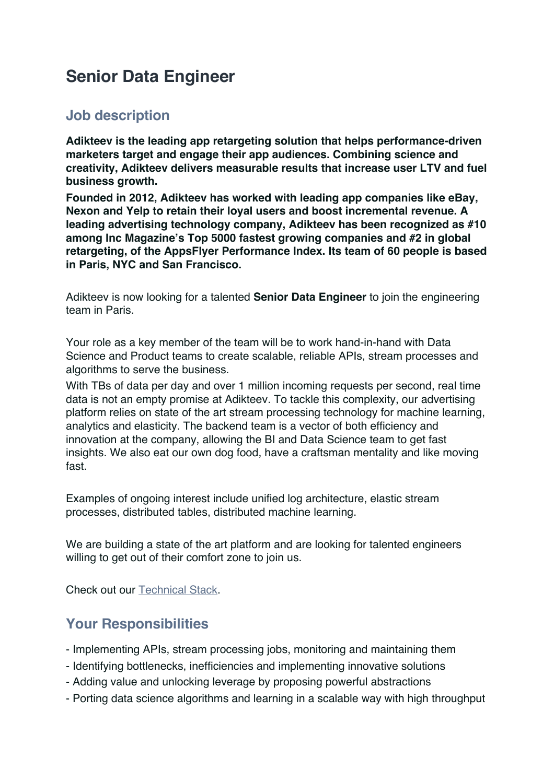# **Senior Data Engineer**

### **Job description**

**Adikteev is the leading app retargeting solution that helps performance-driven marketers target and engage their app audiences. Combining science and creativity, Adikteev delivers measurable results that increase user LTV and fuel business growth.**

**Founded in 2012, Adikteev has worked with leading app companies like eBay, Nexon and Yelp to retain their loyal users and boost incremental revenue. A leading advertising technology company, Adikteev has been recognized as #10 among Inc Magazine's Top 5000 fastest growing companies and #2 in global retargeting, of the AppsFlyer Performance Index. Its team of 60 people is based in Paris, NYC and San Francisco.**

Adikteev is now looking for a talented **Senior Data Engineer** to join the engineering team in Paris.

Your role as a key member of the team will be to work hand-in-hand with Data Science and Product teams to create scalable, reliable APIs, stream processes and algorithms to serve the business.

With TBs of data per day and over 1 million incoming requests per second, real time data is not an empty promise at Adikteev. To tackle this complexity, our advertising platform relies on state of the art stream processing technology for machine learning, analytics and elasticity. The backend team is a vector of both efficiency and innovation at the company, allowing the BI and Data Science team to get fast insights. We also eat our own dog food, have a craftsman mentality and like moving fast.

Examples of ongoing interest include unified log architecture, elastic stream processes, distributed tables, distributed machine learning.

We are building a state of the art platform and are looking for talented engineers willing to get out of their comfort zone to join us.

Check out our Technical Stack.

## **Your Responsibilities**

- Implementing APIs, stream processing jobs, monitoring and maintaining them
- Identifying bottlenecks, inefficiencies and implementing innovative solutions
- Adding value and unlocking leverage by proposing powerful abstractions
- Porting data science algorithms and learning in a scalable way with high throughput